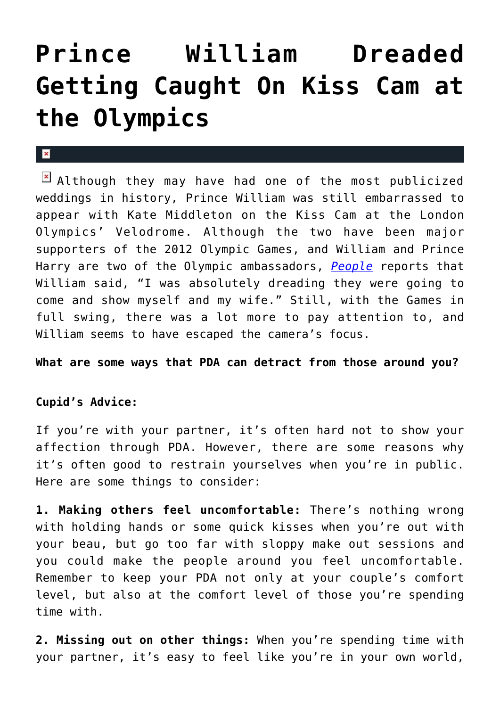## **[Prince William Dreaded](https://cupidspulse.com/36292/prince-william-avoids-pda-with-kate-middleton-at-olympics/) [Getting Caught On Kiss Cam at](https://cupidspulse.com/36292/prince-william-avoids-pda-with-kate-middleton-at-olympics/) [the Olympics](https://cupidspulse.com/36292/prince-william-avoids-pda-with-kate-middleton-at-olympics/)**

## $\mathbf{R}$

 $\boxed{\times}$  Although they may have had one of the most publicized weddings in history, Prince William was still embarrassed to appear with Kate Middleton on the Kiss Cam at the London Olympics' Velodrome. Although the two have been major supporters of the 2012 Olympic Games, and William and Prince Harry are two of the Olympic ambassadors, *[People](http://www.people.com/people/package/article/0,,20612225_20618294,00.html)* reports that William said, "I was absolutely dreading they were going to come and show myself and my wife." Still, with the Games in full swing, there was a lot more to pay attention to, and William seems to have escaped the camera's focus.

## **What are some ways that PDA can detract from those around you?**

## **Cupid's Advice:**

If you're with your partner, it's often hard not to show your affection through PDA. However, there are some reasons why it's often good to restrain yourselves when you're in public. Here are some things to consider:

**1. Making others feel uncomfortable:** There's nothing wrong with holding hands or some quick kisses when you're out with your beau, but go too far with sloppy make out sessions and you could make the people around you feel uncomfortable. Remember to keep your PDA not only at your couple's comfort level, but also at the comfort level of those you're spending time with.

**2. Missing out on other things:** When you're spending time with your partner, it's easy to feel like you're in your own world,